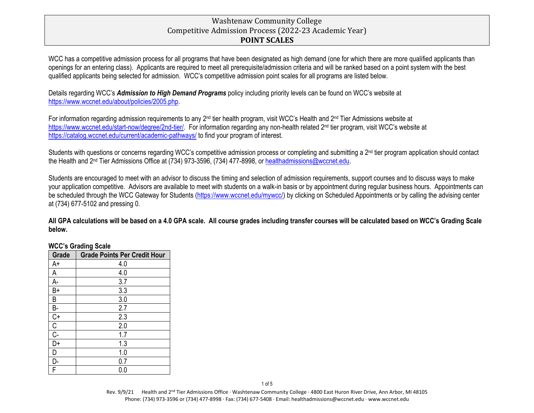# Washtenaw Community College Competitive Admission Process (2022-23 Academic Year) **POINT SCALES**

WCC has a competitive admission process for all programs that have been designated as high demand (one for which there are more qualified applicants than openings for an entering class). Applicants are required to meet all prerequisite/admission criteria and will be ranked based on a point system with the best qualified applicants being selected for admission. WCC's competitive admission point scales for all programs are listed below.

Details regarding WCC's *Admission to High Demand Programs* policy including priority levels can be found on WCC's website at [https://www.wccnet.edu/about/policies/2005.php.](https://www.wccnet.edu/about/policies/2005.php)

For information regarding admission requirements to any 2<sup>nd</sup> tier health program, visit WCC's Health and 2<sup>nd</sup> Tier Admissions website at [https://www.wccnet.edu/start-now/degree/2nd-tier/.](https://www.wccnet.edu/start-now/degree/2nd-tier/) For information regarding any non-health related 2<sup>nd</sup> tier program, visit WCC's website at <https://catalog.wccnet.edu/current/academic-pathways/> to find your program of interest.

Students with questions or concerns regarding WCC's competitive admission process or completing and submitting a 2<sup>nd</sup> tier program application should contact the Health and 2<sup>nd</sup> Tier Admissions Office at (734) 973-3596, (734) 477-8998, or healthadmissions@wccnet.edu.

Students are encouraged to meet with an advisor to discuss the timing and selection of admission requirements, support courses and to discuss ways to make your application competitive. Advisors are available to meet with students on a walk-in basis or by appointment during regular business hours. Appointments can be scheduled through the WCC Gateway for Students [\(https://www.wccnet.edu/mywcc/\)](https://www.wccnet.edu/mywcc/) by clicking on Scheduled Appointments or by calling the advising center at (734) 677-5102 and pressing 0.

**All GPA calculations will be based on a 4.0 GPA scale. All course grades including transfer courses will be calculated based on WCC's Grading Scale below.**

| Grade            | <b>Grade Points Per Credit Hour</b> |
|------------------|-------------------------------------|
| A+               | 4.0                                 |
| А                | 4.0                                 |
| A-               | 3.7                                 |
| B+               | 3.3                                 |
| В                | 3.0                                 |
| В-               | 2.7                                 |
| $C+$             | 2.3                                 |
| C                | 2.0                                 |
| $\overline{C}$ - | 1.7                                 |
| D+               | 1.3                                 |
| D                | 1.0                                 |
| D-               | 0.7                                 |
| F                | U.U                                 |

### **WCC's Grading Scale**

ֺ֞֡֡

Rev. 9/9/21 Health and 2<sup>nd</sup> Tier Admissions Office · Washtenaw Community College · 4800 East Huron River Drive, Ann Arbor, MI 48105 Phone: (734) 973-3596 or (734) 477-8998 · Fax: (734) 677-5408 · Email: healthadmissions@wccnet.edu · www.wccnet.edu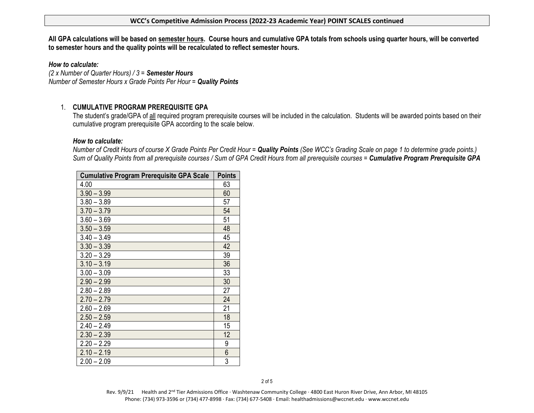#### **WCC's Competitive Admission Process (2022-23 Academic Year) POINT SCALES continued**

**All GPA calculations will be based on semester hours. Course hours and cumulative GPA totals from schools using quarter hours, will be converted to semester hours and the quality points will be recalculated to reflect semester hours.** 

*How to calculate:*

*(2 x Number of Quarter Hours) / 3 = Semester Hours Number of Semester Hours x Grade Points Per Hour = Quality Points*

## 1. **CUMULATIVE PROGRAM PREREQUISITE GPA**

The student's grade/GPA of all required program prerequisite courses will be included in the calculation. Students will be awarded points based on their cumulative program prerequisite GPA according to the scale below.

#### *How to calculate:*

*Number of Credit Hours of course X Grade Points Per Credit Hour = Quality Points (See WCC's Grading Scale on page 1 to determine grade points.) Sum of Quality Points from all prerequisite courses / Sum of GPA Credit Hours from all prerequisite courses = Cumulative Program Prerequisite GPA*

| <b>Cumulative Program Prerequisite GPA Scale</b> | <b>Points</b> |
|--------------------------------------------------|---------------|
| 4.00                                             | 63            |
| $3.90 - 3.99$                                    | 60            |
| $3.80 - 3.89$                                    | 57            |
| $3.70 - 3.79$                                    | 54            |
| $3.60 - 3.69$                                    | 51            |
| $3.50 - 3.59$                                    | 48            |
| $3.40 - 3.49$                                    | 45            |
| $3.30 - 3.39$                                    | 42            |
| $3.20 - 3.29$                                    | 39            |
| $3.10 - 3.19$                                    | 36            |
| $3.00 - 3.09$                                    | 33            |
| $2.90 - 2.99$                                    | 30            |
| $2.80 - 2.89$                                    | 27            |
| $2.70 - 2.79$                                    | 24            |
| $2.60 - 2.69$                                    | 21            |
| $2.50 - 2.59$                                    | 18            |
| $2.40 - 2.49$                                    | 15            |
| $2.30 - 2.39$                                    | 12            |
| $2.20 - 2.29$                                    | 9             |
| $2.10 - 2.19$                                    | 6             |
| $2.00 - 2.09$                                    | 3             |

Rev. 9/9/21 Health and 2<sup>nd</sup> Tier Admissions Office · Washtenaw Community College · 4800 East Huron River Drive, Ann Arbor, MI 48105 Phone: (734) 973-3596 or (734) 477-8998 · Fax: (734) 677-5408 · Email: healthadmissions@wccnet.edu · www.wccnet.edu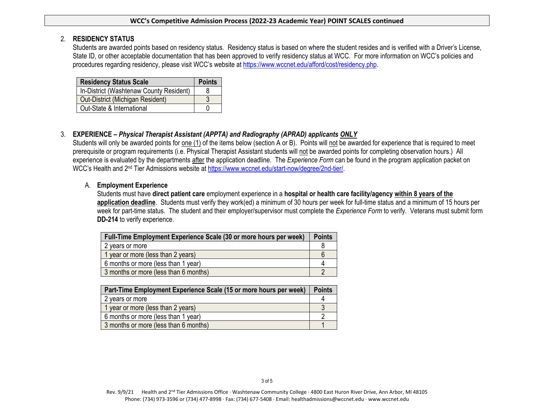#### **WCC's Competitive Admission Process (2022-23 Academic Year) POINT SCALES continued**

### 2. **RESIDENCY STATUS**

Students are awarded points based on residency status. Residency status is based on where the student resides and is verified with a Driver's License, State ID, or other acceptable documentation that has been approved to verify residency status at WCC. For more information on WCC's policies and procedures regarding residency, please visit WCC's website a[t https://www.wccnet.edu/afford/cost/residency.php.](https://www.wccnet.edu/afford/cost/residency.php)

| <b>Residency Status Scale</b>           | <b>Points</b> |
|-----------------------------------------|---------------|
| In-District (Washtenaw County Resident) |               |
| Out-District (Michigan Resident)        |               |
| Out-State & International               |               |

## 3. **EXPERIENCE –** *Physical Therapist Assistant (APPTA) and Radiography (APRAD) applicants ONLY*

Students will only be awarded points for one (1) of the items below (section A or B). Points will not be awarded for experience that is required to meet prerequisite or program requirements (i.e. Physical Therapist Assistant students will not be awarded points for completing observation hours.) All experience is evaluated by the departments after the application deadline. The *Experience Form* can be found in the program application packet on WCC's Health and 2<sup>nd</sup> Tier Admissions website at [https://www.wccnet.edu/start-now/degree/2nd-tier/.](https://www.wccnet.edu/start-now/degree/2nd-tier/)

## A. **Employment Experience**

Students must have **direct patient care** employment experience in a **hospital or health care facility/agency within 8 years of the application deadline**. Students must verify they work(ed) a minimum of 30 hours per week for full-time status and a minimum of 15 hours per week for part-time status. The student and their employer/supervisor must complete the *Experience Form* to verify. Veterans must submit form **DD-214** to verify experience.

| Full-Time Employment Experience Scale (30 or more hours per week) |  |
|-------------------------------------------------------------------|--|
| 2 years or more                                                   |  |
| 1 year or more (less than 2 years)                                |  |
| 6 months or more (less than 1 year)                               |  |
| 3 months or more (less than 6 months)                             |  |

| Part-Time Employment Experience Scale (15 or more hours per week) |  |
|-------------------------------------------------------------------|--|
| 2 years or more                                                   |  |
| 1 year or more (less than 2 years)                                |  |
| 6 months or more (less than 1 year)                               |  |
| 3 months or more (less than 6 months)                             |  |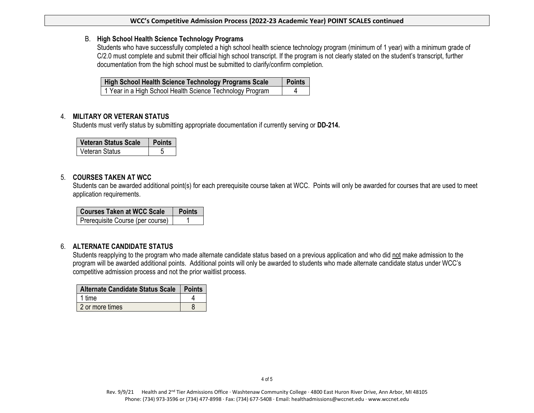#### **WCC's Competitive Admission Process (2022-23 Academic Year) POINT SCALES continued**

#### B. **High School Health Science Technology Programs**

Students who have successfully completed a high school health science technology program (minimum of 1 year) with a minimum grade of C/2.0 must complete and submit their official high school transcript. If the program is not clearly stated on the student's transcript, further documentation from the high school must be submitted to clarify/confirm completion.

| <b>High School Health Science Technology Programs Scale</b> | <b>Points</b> |
|-------------------------------------------------------------|---------------|
| 1 Year in a High School Health Science Technology Program   |               |

### 4. **MILITARY OR VETERAN STATUS**

Students must verify status by submitting appropriate documentation if currently serving or **DD-214.** 

| <b>Veteran Status Scale</b> |  |
|-----------------------------|--|
| Veteran Status              |  |

### 5. **COURSES TAKEN AT WCC**

Students can be awarded additional point(s) for each prerequisite course taken at WCC. Points will only be awarded for courses that are used to meet application requirements.

| <b>Courses Taken at WCC Scale</b> | <b>Points</b> |
|-----------------------------------|---------------|
| Prerequisite Course (per course)  |               |

## 6. **ALTERNATE CANDIDATE STATUS**

Students reapplying to the program who made alternate candidate status based on a previous application and who did not make admission to the program will be awarded additional points. Additional points will only be awarded to students who made alternate candidate status under WCC's competitive admission process and not the prior waitlist process.

| Alternate Candidate Status Scale   Points |  |
|-------------------------------------------|--|
| 1 time                                    |  |
| 2 or more times                           |  |